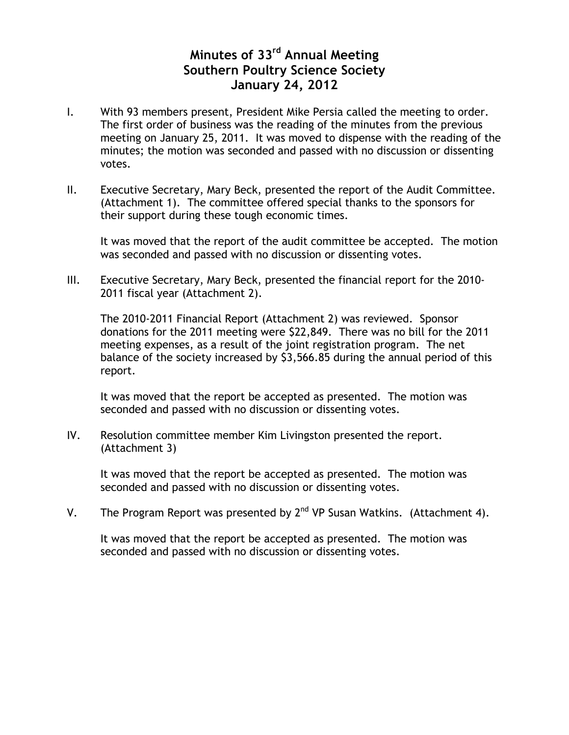## **Minutes of 33rd Annual Meeting Southern Poultry Science Society January 24, 2012**

- I. With 93 members present, President Mike Persia called the meeting to order. The first order of business was the reading of the minutes from the previous meeting on January 25, 2011. It was moved to dispense with the reading of the minutes; the motion was seconded and passed with no discussion or dissenting votes.
- II. Executive Secretary, Mary Beck, presented the report of the Audit Committee. (Attachment 1). The committee offered special thanks to the sponsors for their support during these tough economic times.

It was moved that the report of the audit committee be accepted. The motion was seconded and passed with no discussion or dissenting votes.

III. Executive Secretary, Mary Beck, presented the financial report for the 2010- 2011 fiscal year (Attachment 2).

The 2010-2011 Financial Report (Attachment 2) was reviewed. Sponsor donations for the 2011 meeting were \$22,849. There was no bill for the 2011 meeting expenses, as a result of the joint registration program. The net balance of the society increased by \$3,566.85 during the annual period of this report.

It was moved that the report be accepted as presented. The motion was seconded and passed with no discussion or dissenting votes.

IV. Resolution committee member Kim Livingston presented the report. (Attachment 3)

It was moved that the report be accepted as presented. The motion was seconded and passed with no discussion or dissenting votes.

V. The Program Report was presented by  $2^{nd}$  VP Susan Watkins. (Attachment 4).

It was moved that the report be accepted as presented. The motion was seconded and passed with no discussion or dissenting votes.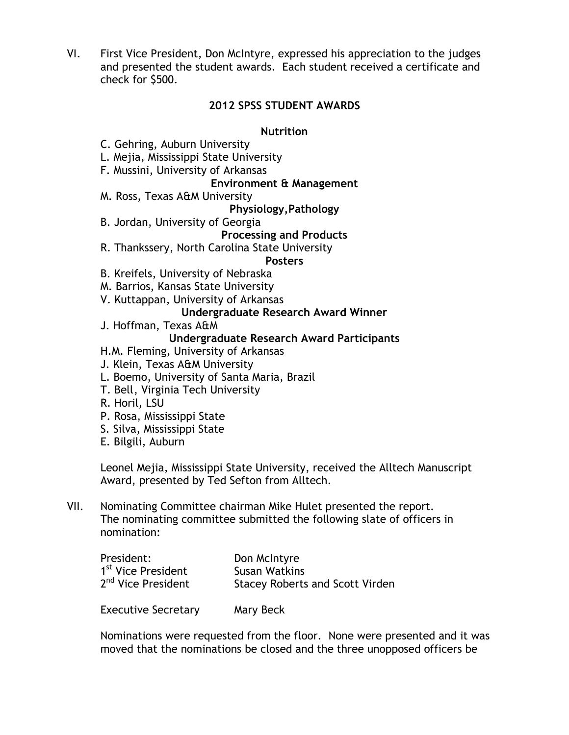VI. First Vice President, Don McIntyre, expressed his appreciation to the judges and presented the student awards. Each student received a certificate and check for \$500.

### **2012 SPSS STUDENT AWARDS**

#### **Nutrition**

- C. Gehring, Auburn University
- L. Mejia, Mississippi State University
- F. Mussini, University of Arkansas

#### **Environment & Management**

M. Ross, Texas A&M University

#### **Physiology,Pathology**

B. Jordan, University of Georgia

#### **Processing and Products**

R. Thankssery, North Carolina State University

#### **Posters**

- B. Kreifels, University of Nebraska
- M. Barrios, Kansas State University
- V. Kuttappan, University of Arkansas

#### **Undergraduate Research Award Winner**

J. Hoffman, Texas A&M

#### **Undergraduate Research Award Participants**

- H.M. Fleming, University of Arkansas
- J. Klein, Texas A&M University
- L. Boemo, University of Santa Maria, Brazil
- T. Bell, Virginia Tech University
- R. Horil, LSU
- P. Rosa, Mississippi State
- S. Silva, Mississippi State
- E. Bilgili, Auburn

Leonel Mejia, Mississippi State University, received the Alltech Manuscript Award, presented by Ted Sefton from Alltech.

VII. Nominating Committee chairman Mike Hulet presented the report. The nominating committee submitted the following slate of officers in nomination:

| President:                     | Don McIntyre                           |
|--------------------------------|----------------------------------------|
| 1 <sup>st</sup> Vice President | Susan Watkins                          |
| 2 <sup>nd</sup> Vice President | <b>Stacey Roberts and Scott Virden</b> |
|                                |                                        |

Executive Secretary Mary Beck

Nominations were requested from the floor. None were presented and it was moved that the nominations be closed and the three unopposed officers be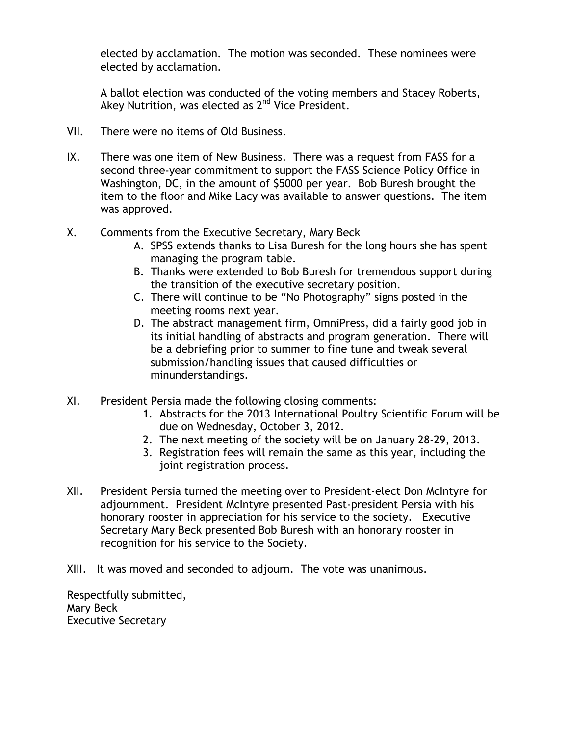elected by acclamation. The motion was seconded. These nominees were elected by acclamation.

A ballot election was conducted of the voting members and Stacey Roberts, Akey Nutrition, was elected as 2<sup>nd</sup> Vice President.

- VII. There were no items of Old Business.
- IX. There was one item of New Business. There was a request from FASS for a second three-year commitment to support the FASS Science Policy Office in Washington, DC, in the amount of \$5000 per year. Bob Buresh brought the item to the floor and Mike Lacy was available to answer questions. The item was approved.
- X. Comments from the Executive Secretary, Mary Beck
	- A. SPSS extends thanks to Lisa Buresh for the long hours she has spent managing the program table.
	- B. Thanks were extended to Bob Buresh for tremendous support during the transition of the executive secretary position.
	- C. There will continue to be "No Photography" signs posted in the meeting rooms next year.
	- D. The abstract management firm, OmniPress, did a fairly good job in its initial handling of abstracts and program generation. There will be a debriefing prior to summer to fine tune and tweak several submission/handling issues that caused difficulties or minunderstandings.
- XI. President Persia made the following closing comments:
	- 1. Abstracts for the 2013 International Poultry Scientific Forum will be due on Wednesday, October 3, 2012.
	- 2. The next meeting of the society will be on January 28-29, 2013.
	- 3. Registration fees will remain the same as this year, including the joint registration process.
- XII. President Persia turned the meeting over to President-elect Don McIntyre for adjournment. President McIntyre presented Past-president Persia with his honorary rooster in appreciation for his service to the society. Executive Secretary Mary Beck presented Bob Buresh with an honorary rooster in recognition for his service to the Society.
- XIII. It was moved and seconded to adjourn. The vote was unanimous.

Respectfully submitted, Mary Beck Executive Secretary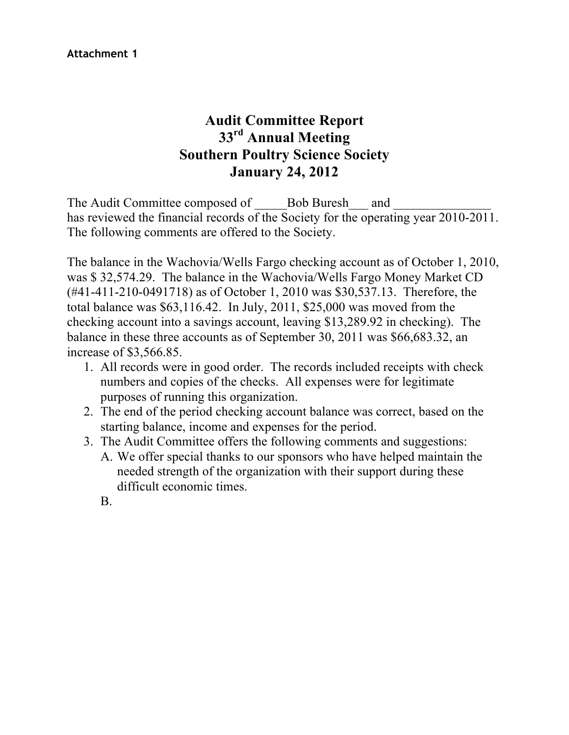## **Audit Committee Report 33rd Annual Meeting Southern Poultry Science Society January 24, 2012**

The Audit Committee composed of \_\_\_\_\_Bob Buresh\_\_\_ and \_\_\_\_\_\_\_\_\_\_\_\_\_\_\_ has reviewed the financial records of the Society for the operating year 2010-2011. The following comments are offered to the Society.

The balance in the Wachovia/Wells Fargo checking account as of October 1, 2010, was \$ 32,574.29. The balance in the Wachovia/Wells Fargo Money Market CD (#41-411-210-0491718) as of October 1, 2010 was \$30,537.13. Therefore, the total balance was \$63,116.42. In July, 2011, \$25,000 was moved from the checking account into a savings account, leaving \$13,289.92 in checking). The balance in these three accounts as of September 30, 2011 was \$66,683.32, an increase of \$3,566.85.

- 1. All records were in good order. The records included receipts with check numbers and copies of the checks. All expenses were for legitimate purposes of running this organization.
- 2. The end of the period checking account balance was correct, based on the starting balance, income and expenses for the period.
- 3. The Audit Committee offers the following comments and suggestions:
	- A. We offer special thanks to our sponsors who have helped maintain the needed strength of the organization with their support during these difficult economic times.
	- B.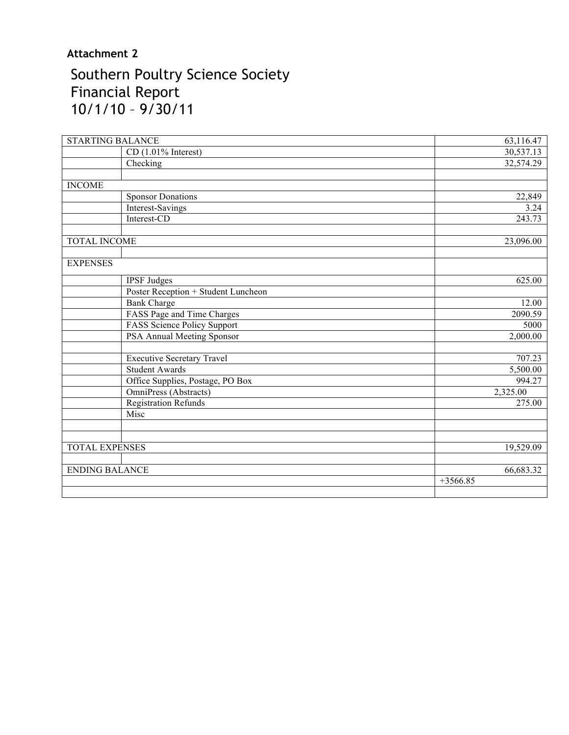## **Attachment 2**

# Southern Poultry Science Society Financial Report 10/1/10 – 9/30/11

| <b>STARTING BALANCE</b>                                    | 63,116.47  |
|------------------------------------------------------------|------------|
| $CD$ (1.01% Interest)                                      | 30,537.13  |
| Checking                                                   | 32,574.29  |
|                                                            |            |
| <b>INCOME</b>                                              |            |
| <b>Sponsor Donations</b>                                   | 22,849     |
| Interest-Savings                                           | 3.24       |
| Interest-CD                                                | 243.73     |
|                                                            |            |
| <b>TOTAL INCOME</b>                                        | 23,096.00  |
| <b>EXPENSES</b>                                            |            |
| <b>IPSF</b> Judges                                         | 625.00     |
| Poster Reception + Student Luncheon                        |            |
| <b>Bank Charge</b>                                         | 12.00      |
| FASS Page and Time Charges                                 | 2090.59    |
| FASS Science Policy Support                                | 5000       |
| PSA Annual Meeting Sponsor                                 | 2,000.00   |
|                                                            | 707.23     |
| <b>Executive Secretary Travel</b><br><b>Student Awards</b> |            |
|                                                            | 5,500.00   |
| Office Supplies, Postage, PO Box                           | 994.27     |
| OmniPress (Abstracts)                                      | 2,325.00   |
| <b>Registration Refunds</b><br>Misc                        | 275.00     |
|                                                            |            |
|                                                            |            |
| <b>TOTAL EXPENSES</b>                                      | 19,529.09  |
| <b>ENDING BALANCE</b>                                      | 66,683.32  |
|                                                            | $+3566.85$ |
|                                                            |            |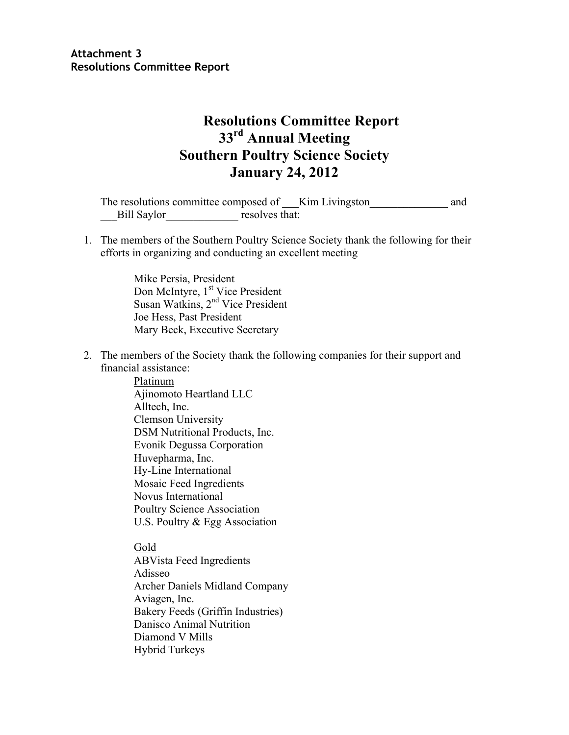## **Resolutions Committee Report 33rd Annual Meeting Southern Poultry Science Society January 24, 2012**

The resolutions committee composed of \_\_\_Kim Livingston and and Bill Saylor resolves that:

1. The members of the Southern Poultry Science Society thank the following for their efforts in organizing and conducting an excellent meeting

> Mike Persia, President Don McIntyre, 1<sup>st</sup> Vice President Susan Watkins, 2nd Vice President Joe Hess, Past President Mary Beck, Executive Secretary

2. The members of the Society thank the following companies for their support and financial assistance:

> Platinum Ajinomoto Heartland LLC Alltech, Inc. Clemson University DSM Nutritional Products, Inc. Evonik Degussa Corporation Huvepharma, Inc. Hy-Line International Mosaic Feed Ingredients Novus International Poultry Science Association U.S. Poultry & Egg Association

Gold ABVista Feed Ingredients Adisseo Archer Daniels Midland Company Aviagen, Inc. Bakery Feeds (Griffin Industries) Danisco Animal Nutrition Diamond V Mills Hybrid Turkeys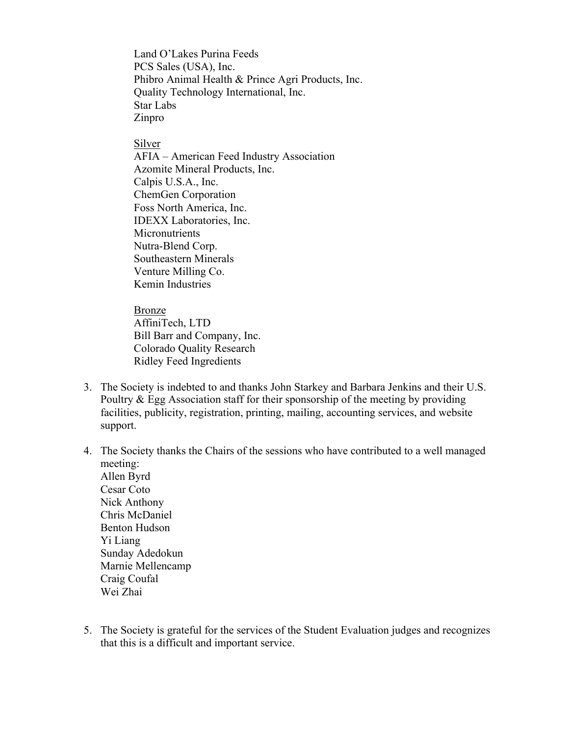Land O'Lakes Purina Feeds PCS Sales (USA), Inc. Phibro Animal Health & Prince Agri Products, Inc. Quality Technology International, Inc. Star Labs Zinpro

Silver

AFIA – American Feed Industry Association Azomite Mineral Products, Inc. Calpis U.S.A., Inc. ChemGen Corporation Foss North America, Inc. IDEXX Laboratories, Inc. **Micronutrients** Nutra-Blend Corp. Southeastern Minerals Venture Milling Co. Kemin Industries

Bronze AffiniTech, LTD Bill Barr and Company, Inc. Colorado Quality Research Ridley Feed Ingredients

- 3. The Society is indebted to and thanks John Starkey and Barbara Jenkins and their U.S. Poultry & Egg Association staff for their sponsorship of the meeting by providing facilities, publicity, registration, printing, mailing, accounting services, and website support.
- 4. The Society thanks the Chairs of the sessions who have contributed to a well managed meeting:

Allen Byrd Cesar Coto Nick Anthony Chris McDaniel Benton Hudson Yi Liang Sunday Adedokun Marnie Mellencamp Craig Coufal Wei Zhai

5. The Society is grateful for the services of the Student Evaluation judges and recognizes that this is a difficult and important service.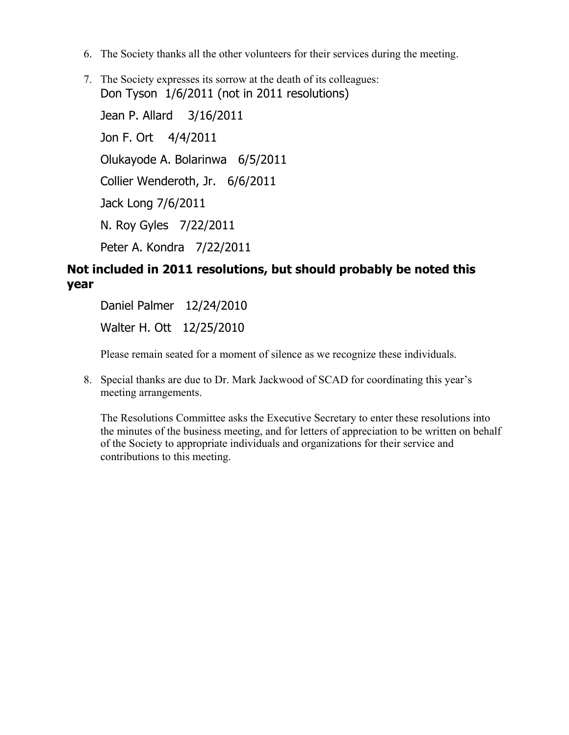- 6. The Society thanks all the other volunteers for their services during the meeting.
- 7. The Society expresses its sorrow at the death of its colleagues: Don Tyson 1/6/2011 (not in 2011 resolutions) Jean P. Allard 3/16/2011 Jon F. Ort 4/4/2011 Olukayode A. Bolarinwa 6/5/2011 Collier Wenderoth, Jr. 6/6/2011 Jack Long 7/6/2011 N. Roy Gyles 7/22/2011 Peter A. Kondra 7/22/2011

### **Not included in 2011 resolutions, but should probably be noted this year**

Daniel Palmer 12/24/2010 Walter H. Ott 12/25/2010

Please remain seated for a moment of silence as we recognize these individuals.

8. Special thanks are due to Dr. Mark Jackwood of SCAD for coordinating this year's meeting arrangements.

The Resolutions Committee asks the Executive Secretary to enter these resolutions into the minutes of the business meeting, and for letters of appreciation to be written on behalf of the Society to appropriate individuals and organizations for their service and contributions to this meeting.